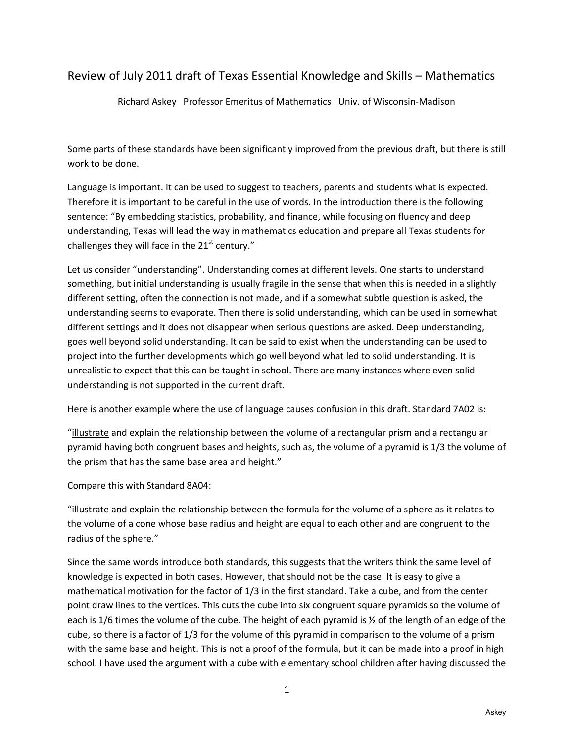# Review of July 2011 draft of Texas Essential Knowledge and Skills – Mathematics

Richard Askey Professor Emeritus of Mathematics Univ. of Wisconsin-Madison

Some parts of these standards have been significantly improved from the previous draft, but there is still work to be done.

Language is important. It can be used to suggest to teachers, parents and students what is expected. Therefore it is important to be careful in the use of words. In the introduction there is the following sentence: "By embedding statistics, probability, and finance, while focusing on fluency and deep understanding, Texas will lead the way in mathematics education and prepare all Texas students for challenges they will face in the  $21<sup>st</sup>$  century."

Let us consider "understanding". Understanding comes at different levels. One starts to understand something, but initial understanding is usually fragile in the sense that when this is needed in a slightly different setting, often the connection is not made, and if a somewhat subtle question is asked, the understanding seems to evaporate. Then there is solid understanding, which can be used in somewhat different settings and it does not disappear when serious questions are asked. Deep understanding, goes well beyond solid understanding. It can be said to exist when the understanding can be used to project into the further developments which go well beyond what led to solid understanding. It is unrealistic to expect that this can be taught in school. There are many instances where even solid understanding is not supported in the current draft.

Here is another example where the use of language causes confusion in this draft. Standard 7A02 is:

"illustrate and explain the relationship between the volume of a rectangular prism and a rectangular pyramid having both congruent bases and heights, such as, the volume of a pyramid is 1/3 the volume of the prism that has the same base area and height."

Compare this with Standard 8A04:

"illustrate and explain the relationship between the formula for the volume of a sphere as it relates to the volume of a cone whose base radius and height are equal to each other and are congruent to the radius of the sphere."

Since the same words introduce both standards, this suggests that the writers think the same level of knowledge is expected in both cases. However, that should not be the case. It is easy to give a mathematical motivation for the factor of 1/3 in the first standard. Take a cube, and from the center point draw lines to the vertices. This cuts the cube into six congruent square pyramids so the volume of each is 1/6 times the volume of the cube. The height of each pyramid is ½ of the length of an edge of the cube, so there is a factor of 1/3 for the volume of this pyramid in comparison to the volume of a prism with the same base and height. This is not a proof of the formula, but it can be made into a proof in high school. I have used the argument with a cube with elementary school children after having discussed the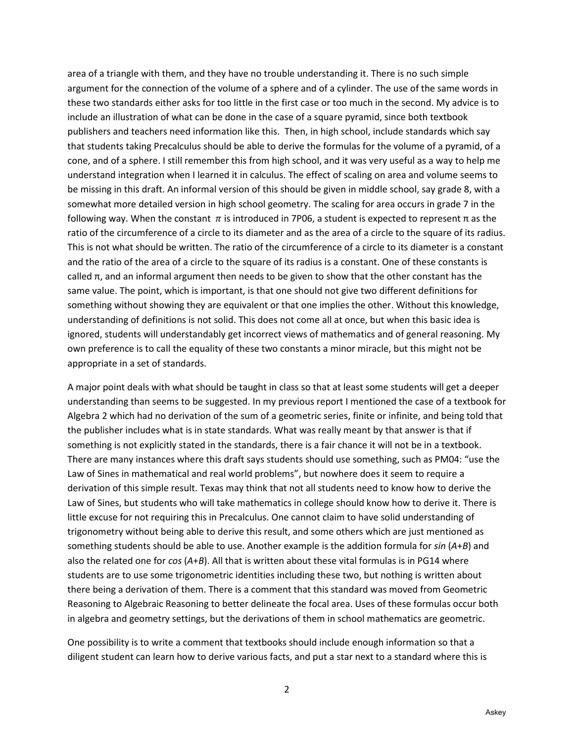area of a triangle with them, and they have no trouble understanding it. There is no such simple argument for the connection of the volume of a sphere and of a cylinder. The use of the same words in these two standards either asks for too little in the first case or too much in the second. My advice is to include an illustration of what can be done in the case of a square pyramid, since both textbook publishers and teachers need information like this. Then, in high school, include standards which say that students taking Precalculus should be able to derive the formulas for the volume of a pyramid, of a cone, and of a sphere. I still remember this from high school, and it was very useful as a way to help me understand integration when I learned it in calculus. The effect of scaling on area and volume seems to be missing in this draft. An informal version of this should be given in middle school, say grade 8, with a somewhat more detailed version in high school geometry. The scaling for area occurs in grade 7 in the following way. When the constant  $\pi$  is introduced in 7P06, a student is expected to represent π as the ratio of the circumference of a circle to its diameter and as the area of a circle to the square of its radius. This is not what should be written. The ratio of the circumference of a circle to its diameter is a constant and the ratio of the area of a circle to the square of its radius is a constant. One of these constants is called π, and an informal argument then needs to be given to show that the other constant has the same value. The point, which is important, is that one should not give two different definitions for something without showing they are equivalent or that one implies the other. Without this knowledge, understanding of definitions is not solid. This does not come all at once, but when this basic idea is ignored, students will understandably get incorrect views of mathematics and of general reasoning. My own preference is to call the equality of these two constants a minor miracle, but this might not be appropriate in a set of standards.

A major point deals with what should be taught in class so that at least some students will get a deeper understanding than seems to be suggested. In my previous report I mentioned the case of a textbook for Algebra 2 which had no derivation of the sum of a geometric series, finite or infinite, and being told that the publisher includes what is in state standards. What was really meant by that answer is that if something is not explicitly stated in the standards, there is a fair chance it will not be in a textbook. There are many instances where this draft says students should use something, such as PM04: "use the Law of Sines in mathematical and real world problems", but nowhere does it seem to require a derivation of this simple result. Texas may think that not all students need to know how to derive the Law of Sines, but students who will take mathematics in college should know how to derive it. There is little excuse for not requiring this in Precalculus. One cannot claim to have solid understanding of trigonometry without being able to derive this result, and some others which are just mentioned as something students should be able to use. Another example is the addition formula for *sin* (*A*+*B*) and also the related one for *cos* (*A*+*B*). All that is written about these vital formulas is in PG14 where students are to use some trigonometric identities including these two, but nothing is written about there being a derivation of them. There is a comment that this standard was moved from Geometric Reasoning to Algebraic Reasoning to better delineate the focal area. Uses of these formulas occur both in algebra and geometry settings, but the derivations of them in school mathematics are geometric.

One possibility is to write a comment that textbooks should include enough information so that a diligent student can learn how to derive various facts, and put a star next to a standard where this is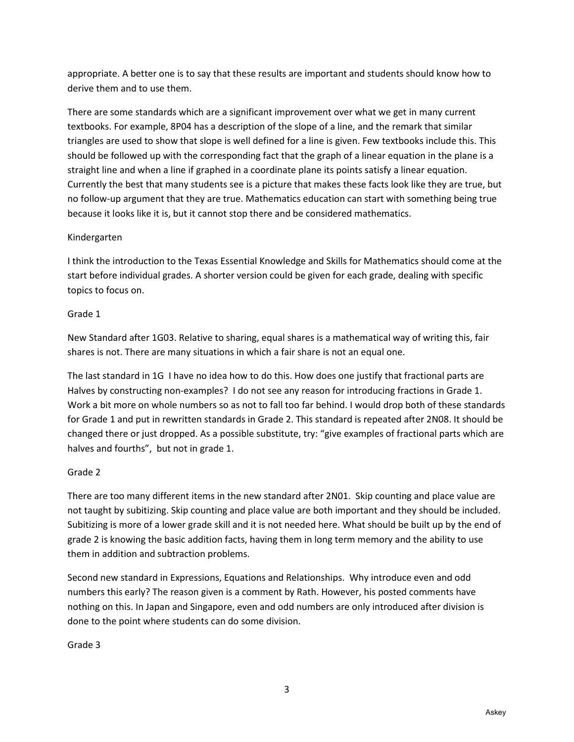appropriate. A better one is to say that these results are important and students should know how to derive them and to use them.

There are some standards which are a significant improvement over what we get in many current textbooks. For example, 8P04 has a description of the slope of a line, and the remark that similar triangles are used to show that slope is well defined for a line is given. Few textbooks include this. This should be followed up with the corresponding fact that the graph of a linear equation in the plane is a straight line and when a line if graphed in a coordinate plane its points satisfy a linear equation. Currently the best that many students see is a picture that makes these facts look like they are true, but no follow-up argument that they are true. Mathematics education can start with something being true because it looks like it is, but it cannot stop there and be considered mathematics.

### Kindergarten

I think the introduction to the Texas Essential Knowledge and Skills for Mathematics should come at the start before individual grades. A shorter version could be given for each grade, dealing with specific topics to focus on.

### Grade 1

New Standard after 1G03. Relative to sharing, equal shares is a mathematical way of writing this, fair shares is not. There are many situations in which a fair share is not an equal one.

The last standard in 1G I have no idea how to do this. How does one justify that fractional parts are Halves by constructing non-examples? I do not see any reason for introducing fractions in Grade 1. Work a bit more on whole numbers so as not to fall too far behind. I would drop both of these standards for Grade 1 and put in rewritten standards in Grade 2. This standard is repeated after 2N08. It should be changed there or just dropped. As a possible substitute, try: "give examples of fractional parts which are halves and fourths", but not in grade 1.

# Grade 2

There are too many different items in the new standard after 2N01. Skip counting and place value are not taught by subitizing. Skip counting and place value are both important and they should be included. Subitizing is more of a lower grade skill and it is not needed here. What should be built up by the end of grade 2 is knowing the basic addition facts, having them in long term memory and the ability to use them in addition and subtraction problems.

Second new standard in Expressions, Equations and Relationships. Why introduce even and odd numbers this early? The reason given is a comment by Rath. However, his posted comments have nothing on this. In Japan and Singapore, even and odd numbers are only introduced after division is done to the point where students can do some division.

### Grade 3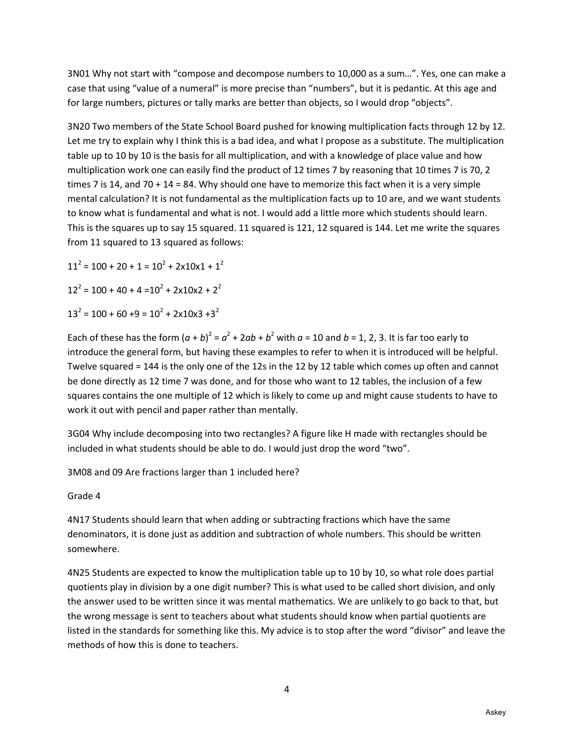3N01 Why not start with "compose and decompose numbers to 10,000 as a sum…". Yes, one can make a case that using "value of a numeral" is more precise than "numbers", but it is pedantic. At this age and for large numbers, pictures or tally marks are better than objects, so I would drop "objects".

3N20 Two members of the State School Board pushed for knowing multiplication facts through 12 by 12. Let me try to explain why I think this is a bad idea, and what I propose as a substitute. The multiplication table up to 10 by 10 is the basis for all multiplication, and with a knowledge of place value and how multiplication work one can easily find the product of 12 times 7 by reasoning that 10 times 7 is 70, 2 times 7 is 14, and 70 + 14 = 84. Why should one have to memorize this fact when it is a very simple mental calculation? It is not fundamental as the multiplication facts up to 10 are, and we want students to know what is fundamental and what is not. I would add a little more which students should learn. This is the squares up to say 15 squared. 11 squared is 121, 12 squared is 144. Let me write the squares from 11 squared to 13 squared as follows:

 $11^2$  = 100 + 20 + 1 = 10<sup>2</sup> + 2x10x1 + 1<sup>2</sup>  $12^2 = 100 + 40 + 4 = 10^2 + 2 \times 10 \times 2 + 2^2$  $13^2 = 100 + 60 + 9 = 10^2 + 2 \times 10 \times 3 + 3^2$ 

Each of these has the form  $(a + b)^2 = a^2 + 2ab + b^2$  with  $a = 10$  and  $b = 1, 2, 3$ . It is far too early to introduce the general form, but having these examples to refer to when it is introduced will be helpful. Twelve squared = 144 is the only one of the 12s in the 12 by 12 table which comes up often and cannot be done directly as 12 time 7 was done, and for those who want to 12 tables, the inclusion of a few squares contains the one multiple of 12 which is likely to come up and might cause students to have to work it out with pencil and paper rather than mentally.

3G04 Why include decomposing into two rectangles? A figure like H made with rectangles should be included in what students should be able to do. I would just drop the word "two".

3M08 and 09 Are fractions larger than 1 included here?

### Grade 4

4N17 Students should learn that when adding or subtracting fractions which have the same denominators, it is done just as addition and subtraction of whole numbers. This should be written somewhere.

4N25 Students are expected to know the multiplication table up to 10 by 10, so what role does partial quotients play in division by a one digit number? This is what used to be called short division, and only the answer used to be written since it was mental mathematics. We are unlikely to go back to that, but the wrong message is sent to teachers about what students should know when partial quotients are listed in the standards for something like this. My advice is to stop after the word "divisor" and leave the methods of how this is done to teachers.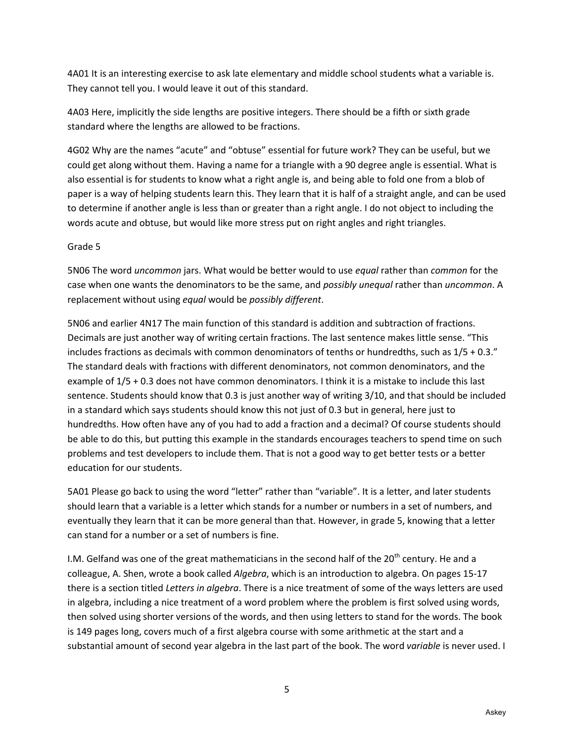4A01 It is an interesting exercise to ask late elementary and middle school students what a variable is. They cannot tell you. I would leave it out of this standard.

4A03 Here, implicitly the side lengths are positive integers. There should be a fifth or sixth grade standard where the lengths are allowed to be fractions.

4G02 Why are the names "acute" and "obtuse" essential for future work? They can be useful, but we could get along without them. Having a name for a triangle with a 90 degree angle is essential. What is also essential is for students to know what a right angle is, and being able to fold one from a blob of paper is a way of helping students learn this. They learn that it is half of a straight angle, and can be used to determine if another angle is less than or greater than a right angle. I do not object to including the words acute and obtuse, but would like more stress put on right angles and right triangles.

#### Grade 5

5N06 The word *uncommon* jars. What would be better would to use *equal* rather than *common* for the case when one wants the denominators to be the same, and *possibly unequal* rather than *uncommon*. A replacement without using *equal* would be *possibly different*.

5N06 and earlier 4N17 The main function of this standard is addition and subtraction of fractions. Decimals are just another way of writing certain fractions. The last sentence makes little sense. "This includes fractions as decimals with common denominators of tenths or hundredths, such as 1/5 + 0.3." The standard deals with fractions with different denominators, not common denominators, and the example of 1/5 + 0.3 does not have common denominators. I think it is a mistake to include this last sentence. Students should know that 0.3 is just another way of writing 3/10, and that should be included in a standard which says students should know this not just of 0.3 but in general, here just to hundredths. How often have any of you had to add a fraction and a decimal? Of course students should be able to do this, but putting this example in the standards encourages teachers to spend time on such problems and test developers to include them. That is not a good way to get better tests or a better education for our students.

5A01 Please go back to using the word "letter" rather than "variable". It is a letter, and later students should learn that a variable is a letter which stands for a number or numbers in a set of numbers, and eventually they learn that it can be more general than that. However, in grade 5, knowing that a letter can stand for a number or a set of numbers is fine.

I.M. Gelfand was one of the great mathematicians in the second half of the 20<sup>th</sup> century. He and a colleague, A. Shen, wrote a book called *Algebra*, which is an introduction to algebra. On pages 15-17 there is a section titled *Letters in algebra*. There is a nice treatment of some of the ways letters are used in algebra, including a nice treatment of a word problem where the problem is first solved using words, then solved using shorter versions of the words, and then using letters to stand for the words. The book is 149 pages long, covers much of a first algebra course with some arithmetic at the start and a substantial amount of second year algebra in the last part of the book. The word *variable* is never used. I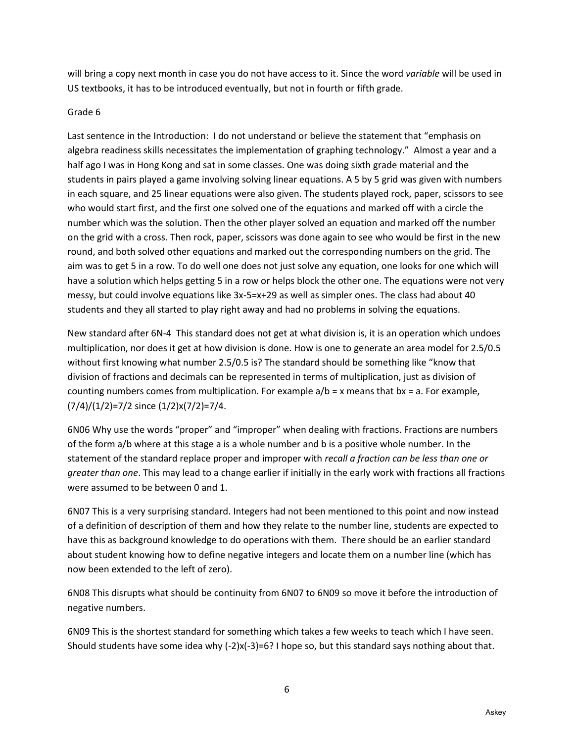will bring a copy next month in case you do not have access to it. Since the word *variable* will be used in US textbooks, it has to be introduced eventually, but not in fourth or fifth grade.

#### Grade 6

Last sentence in the Introduction: I do not understand or believe the statement that "emphasis on algebra readiness skills necessitates the implementation of graphing technology." Almost a year and a half ago I was in Hong Kong and sat in some classes. One was doing sixth grade material and the students in pairs played a game involving solving linear equations. A 5 by 5 grid was given with numbers in each square, and 25 linear equations were also given. The students played rock, paper, scissors to see who would start first, and the first one solved one of the equations and marked off with a circle the number which was the solution. Then the other player solved an equation and marked off the number on the grid with a cross. Then rock, paper, scissors was done again to see who would be first in the new round, and both solved other equations and marked out the corresponding numbers on the grid. The aim was to get 5 in a row. To do well one does not just solve any equation, one looks for one which will have a solution which helps getting 5 in a row or helps block the other one. The equations were not very messy, but could involve equations like 3x-5=x+29 as well as simpler ones. The class had about 40 students and they all started to play right away and had no problems in solving the equations.

New standard after 6N-4 This standard does not get at what division is, it is an operation which undoes multiplication, nor does it get at how division is done. How is one to generate an area model for 2.5/0.5 without first knowing what number 2.5/0.5 is? The standard should be something like "know that division of fractions and decimals can be represented in terms of multiplication, just as division of counting numbers comes from multiplication. For example  $a/b = x$  means that  $bx = a$ . For example, (7/4)/(1/2)=7/2 since (1/2)x(7/2)=7/4.

6N06 Why use the words "proper" and "improper" when dealing with fractions. Fractions are numbers of the form a/b where at this stage a is a whole number and b is a positive whole number. In the statement of the standard replace proper and improper with *recall a fraction can be less than one or greater than one*. This may lead to a change earlier if initially in the early work with fractions all fractions were assumed to be between 0 and 1.

6N07 This is a very surprising standard. Integers had not been mentioned to this point and now instead of a definition of description of them and how they relate to the number line, students are expected to have this as background knowledge to do operations with them. There should be an earlier standard about student knowing how to define negative integers and locate them on a number line (which has now been extended to the left of zero).

6N08 This disrupts what should be continuity from 6N07 to 6N09 so move it before the introduction of negative numbers.

6N09 This is the shortest standard for something which takes a few weeks to teach which I have seen. Should students have some idea why (-2)x(-3)=6? I hope so, but this standard says nothing about that.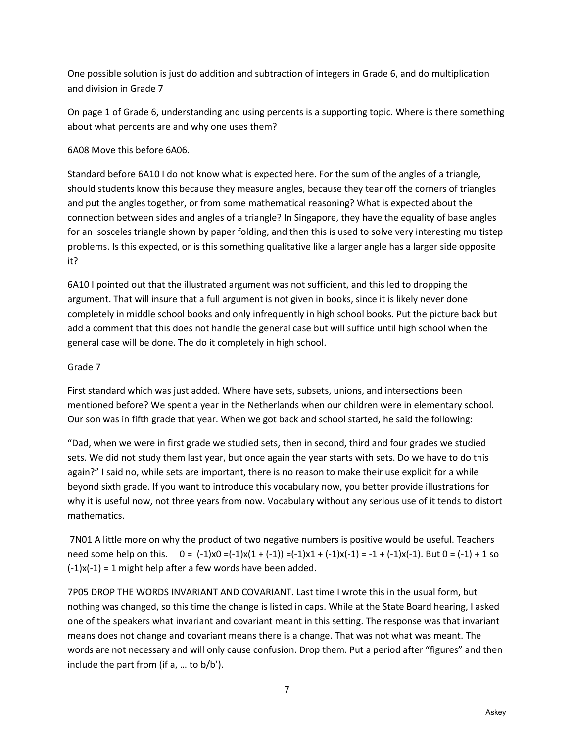One possible solution is just do addition and subtraction of integers in Grade 6, and do multiplication and division in Grade 7

On page 1 of Grade 6, understanding and using percents is a supporting topic. Where is there something about what percents are and why one uses them?

### 6A08 Move this before 6A06.

Standard before 6A10 I do not know what is expected here. For the sum of the angles of a triangle, should students know this because they measure angles, because they tear off the corners of triangles and put the angles together, or from some mathematical reasoning? What is expected about the connection between sides and angles of a triangle? In Singapore, they have the equality of base angles for an isosceles triangle shown by paper folding, and then this is used to solve very interesting multistep problems. Is this expected, or is this something qualitative like a larger angle has a larger side opposite it?

6A10 I pointed out that the illustrated argument was not sufficient, and this led to dropping the argument. That will insure that a full argument is not given in books, since it is likely never done completely in middle school books and only infrequently in high school books. Put the picture back but add a comment that this does not handle the general case but will suffice until high school when the general case will be done. The do it completely in high school.

### Grade 7

First standard which was just added. Where have sets, subsets, unions, and intersections been mentioned before? We spent a year in the Netherlands when our children were in elementary school. Our son was in fifth grade that year. When we got back and school started, he said the following:

"Dad, when we were in first grade we studied sets, then in second, third and four grades we studied sets. We did not study them last year, but once again the year starts with sets. Do we have to do this again?" I said no, while sets are important, there is no reason to make their use explicit for a while beyond sixth grade. If you want to introduce this vocabulary now, you better provide illustrations for why it is useful now, not three years from now. Vocabulary without any serious use of it tends to distort mathematics.

 7N01 A little more on why the product of two negative numbers is positive would be useful. Teachers need some help on this.  $0 = (-1)x0 = (-1)x(1 + (-1)) = (-1)x1 + (-1)x(-1) = -1 + (-1)x(-1)$ . But  $0 = (-1) + 1$  so  $(-1)x(-1) = 1$  might help after a few words have been added.

7P05 DROP THE WORDS INVARIANT AND COVARIANT. Last time I wrote this in the usual form, but nothing was changed, so this time the change is listed in caps. While at the State Board hearing, I asked one of the speakers what invariant and covariant meant in this setting. The response was that invariant means does not change and covariant means there is a change. That was not what was meant. The words are not necessary and will only cause confusion. Drop them. Put a period after "figures" and then include the part from (if a, … to b/b').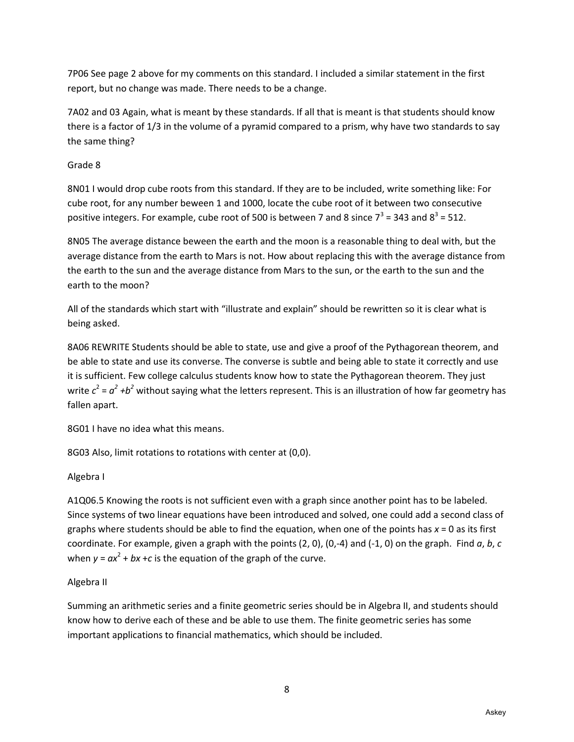7P06 See page 2 above for my comments on this standard. I included a similar statement in the first report, but no change was made. There needs to be a change.

7A02 and 03 Again, what is meant by these standards. If all that is meant is that students should know there is a factor of 1/3 in the volume of a pyramid compared to a prism, why have two standards to say the same thing?

### Grade 8

8N01 I would drop cube roots from this standard. If they are to be included, write something like: For cube root, for any number beween 1 and 1000, locate the cube root of it between two consecutive positive integers. For example, cube root of 500 is between 7 and 8 since  $7^3$  = 343 and  $8^3$  = 512.

8N05 The average distance beween the earth and the moon is a reasonable thing to deal with, but the average distance from the earth to Mars is not. How about replacing this with the average distance from the earth to the sun and the average distance from Mars to the sun, or the earth to the sun and the earth to the moon?

All of the standards which start with "illustrate and explain" should be rewritten so it is clear what is being asked.

8A06 REWRITE Students should be able to state, use and give a proof of the Pythagorean theorem, and be able to state and use its converse. The converse is subtle and being able to state it correctly and use it is sufficient. Few college calculus students know how to state the Pythagorean theorem. They just write  $c^2 = a^2 + b^2$  without saying what the letters represent. This is an illustration of how far geometry has fallen apart.

8G01 I have no idea what this means.

8G03 Also, limit rotations to rotations with center at (0,0).

# Algebra I

A1Q06.5 Knowing the roots is not sufficient even with a graph since another point has to be labeled. Since systems of two linear equations have been introduced and solved, one could add a second class of graphs where students should be able to find the equation, when one of the points has *x* = 0 as its first coordinate. For example, given a graph with the points (2, 0), (0,-4) and (-1, 0) on the graph. Find *a*, *b*, *c* when  $y = ax^2 + bx + c$  is the equation of the graph of the curve.

# Algebra II

Summing an arithmetic series and a finite geometric series should be in Algebra II, and students should know how to derive each of these and be able to use them. The finite geometric series has some important applications to financial mathematics, which should be included.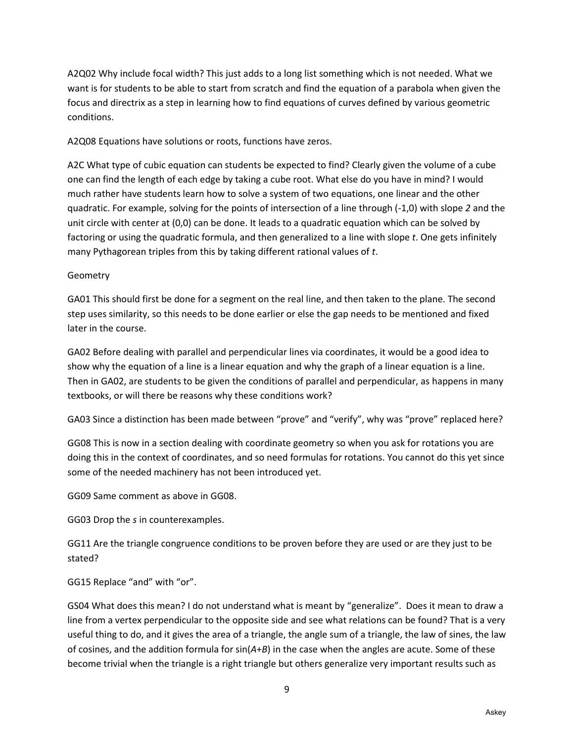A2Q02 Why include focal width? This just adds to a long list something which is not needed. What we want is for students to be able to start from scratch and find the equation of a parabola when given the focus and directrix as a step in learning how to find equations of curves defined by various geometric conditions.

A2Q08 Equations have solutions or roots, functions have zeros.

A2C What type of cubic equation can students be expected to find? Clearly given the volume of a cube one can find the length of each edge by taking a cube root. What else do you have in mind? I would much rather have students learn how to solve a system of two equations, one linear and the other quadratic. For example, solving for the points of intersection of a line through (-1,0) with slope *2* and the unit circle with center at (0,0) can be done. It leads to a quadratic equation which can be solved by factoring or using the quadratic formula, and then generalized to a line with slope *t*. One gets infinitely many Pythagorean triples from this by taking different rational values of *t*.

#### Geometry

GA01 This should first be done for a segment on the real line, and then taken to the plane. The second step uses similarity, so this needs to be done earlier or else the gap needs to be mentioned and fixed later in the course.

GA02 Before dealing with parallel and perpendicular lines via coordinates, it would be a good idea to show why the equation of a line is a linear equation and why the graph of a linear equation is a line. Then in GA02, are students to be given the conditions of parallel and perpendicular, as happens in many textbooks, or will there be reasons why these conditions work?

GA03 Since a distinction has been made between "prove" and "verify", why was "prove" replaced here?

GG08 This is now in a section dealing with coordinate geometry so when you ask for rotations you are doing this in the context of coordinates, and so need formulas for rotations. You cannot do this yet since some of the needed machinery has not been introduced yet.

GG09 Same comment as above in GG08.

GG03 Drop the *s* in counterexamples.

GG11 Are the triangle congruence conditions to be proven before they are used or are they just to be stated?

GG15 Replace "and" with "or".

GS04 What does this mean? I do not understand what is meant by "generalize". Does it mean to draw a line from a vertex perpendicular to the opposite side and see what relations can be found? That is a very useful thing to do, and it gives the area of a triangle, the angle sum of a triangle, the law of sines, the law of cosines, and the addition formula for sin(*A*+*B*) in the case when the angles are acute. Some of these become trivial when the triangle is a right triangle but others generalize very important results such as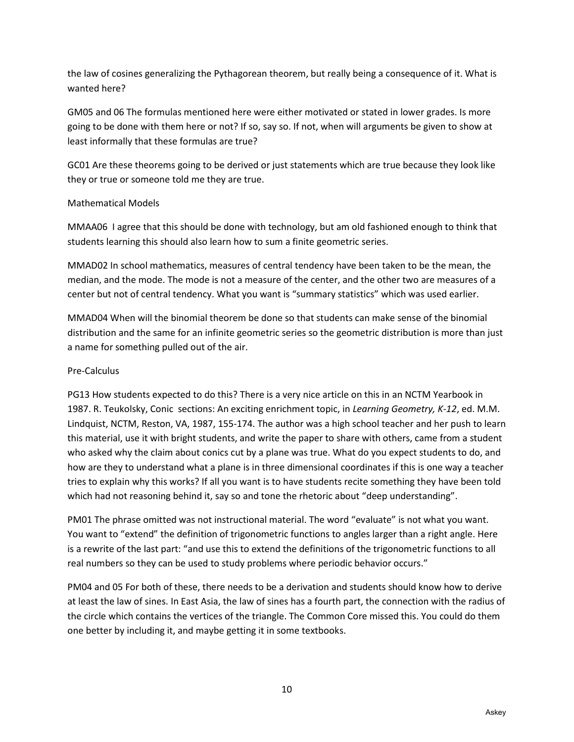the law of cosines generalizing the Pythagorean theorem, but really being a consequence of it. What is wanted here?

GM05 and 06 The formulas mentioned here were either motivated or stated in lower grades. Is more going to be done with them here or not? If so, say so. If not, when will arguments be given to show at least informally that these formulas are true?

GC01 Are these theorems going to be derived or just statements which are true because they look like they or true or someone told me they are true.

#### Mathematical Models

MMAA06 I agree that this should be done with technology, but am old fashioned enough to think that students learning this should also learn how to sum a finite geometric series.

MMAD02 In school mathematics, measures of central tendency have been taken to be the mean, the median, and the mode. The mode is not a measure of the center, and the other two are measures of a center but not of central tendency. What you want is "summary statistics" which was used earlier.

MMAD04 When will the binomial theorem be done so that students can make sense of the binomial distribution and the same for an infinite geometric series so the geometric distribution is more than just a name for something pulled out of the air.

#### Pre-Calculus

PG13 How students expected to do this? There is a very nice article on this in an NCTM Yearbook in 1987. R. Teukolsky, Conic sections: An exciting enrichment topic, in *Learning Geometry, K-12*, ed. M.M. Lindquist, NCTM, Reston, VA, 1987, 155-174. The author was a high school teacher and her push to learn this material, use it with bright students, and write the paper to share with others, came from a student who asked why the claim about conics cut by a plane was true. What do you expect students to do, and how are they to understand what a plane is in three dimensional coordinates if this is one way a teacher tries to explain why this works? If all you want is to have students recite something they have been told which had not reasoning behind it, say so and tone the rhetoric about "deep understanding".

PM01 The phrase omitted was not instructional material. The word "evaluate" is not what you want. You want to "extend" the definition of trigonometric functions to angles larger than a right angle. Here is a rewrite of the last part: "and use this to extend the definitions of the trigonometric functions to all real numbers so they can be used to study problems where periodic behavior occurs."

PM04 and 05 For both of these, there needs to be a derivation and students should know how to derive at least the law of sines. In East Asia, the law of sines has a fourth part, the connection with the radius of the circle which contains the vertices of the triangle. The Common Core missed this. You could do them one better by including it, and maybe getting it in some textbooks.